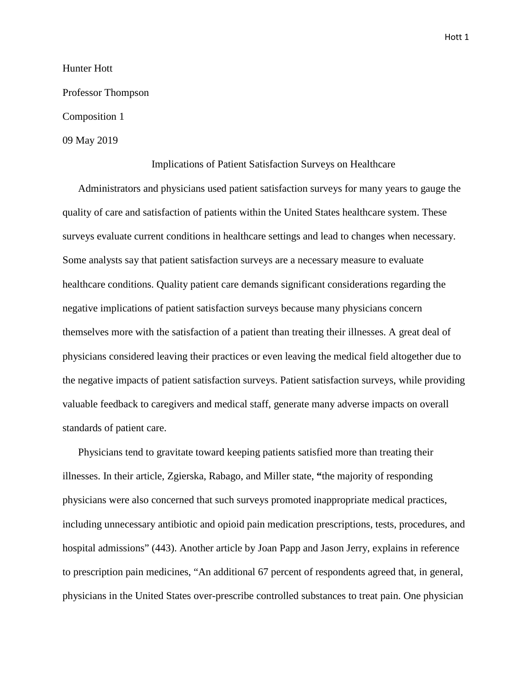Hunter Hott

Professor Thompson

Composition 1

09 May 2019

## Implications of Patient Satisfaction Surveys on Healthcare

Administrators and physicians used patient satisfaction surveys for many years to gauge the quality of care and satisfaction of patients within the United States healthcare system. These surveys evaluate current conditions in healthcare settings and lead to changes when necessary. Some analysts say that patient satisfaction surveys are a necessary measure to evaluate healthcare conditions. Quality patient care demands significant considerations regarding the negative implications of patient satisfaction surveys because many physicians concern themselves more with the satisfaction of a patient than treating their illnesses. A great deal of physicians considered leaving their practices or even leaving the medical field altogether due to the negative impacts of patient satisfaction surveys. Patient satisfaction surveys, while providing valuable feedback to caregivers and medical staff, generate many adverse impacts on overall standards of patient care.

Physicians tend to gravitate toward keeping patients satisfied more than treating their illnesses. In their article, Zgierska, Rabago, and Miller state, **"**the majority of responding physicians were also concerned that such surveys promoted inappropriate medical practices, including unnecessary antibiotic and opioid pain medication prescriptions, tests, procedures, and hospital admissions" (443). Another article by Joan Papp and Jason Jerry, explains in reference to prescription pain medicines, "An additional 67 percent of respondents agreed that, in general, physicians in the United States over-prescribe controlled substances to treat pain. One physician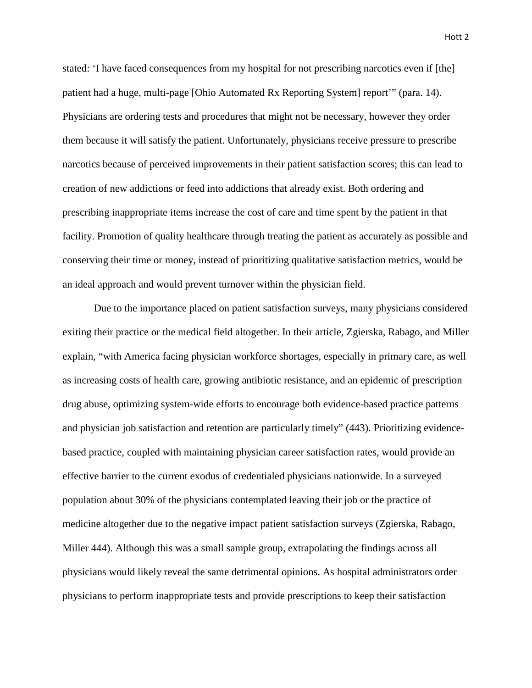Hott 2

stated: 'I have faced consequences from my hospital for not prescribing narcotics even if [the] patient had a huge, multi-page [Ohio Automated Rx Reporting System] report'" (para. 14). Physicians are ordering tests and procedures that might not be necessary, however they order them because it will satisfy the patient. Unfortunately, physicians receive pressure to prescribe narcotics because of perceived improvements in their patient satisfaction scores; this can lead to creation of new addictions or feed into addictions that already exist. Both ordering and prescribing inappropriate items increase the cost of care and time spent by the patient in that facility. Promotion of quality healthcare through treating the patient as accurately as possible and conserving their time or money, instead of prioritizing qualitative satisfaction metrics, would be an ideal approach and would prevent turnover within the physician field.

Due to the importance placed on patient satisfaction surveys, many physicians considered exiting their practice or the medical field altogether. In their article, Zgierska, Rabago, and Miller explain, "with America facing physician workforce shortages, especially in primary care, as well as increasing costs of health care, growing antibiotic resistance, and an epidemic of prescription drug abuse, optimizing system-wide efforts to encourage both evidence-based practice patterns and physician job satisfaction and retention are particularly timely" (443). Prioritizing evidencebased practice, coupled with maintaining physician career satisfaction rates, would provide an effective barrier to the current exodus of credentialed physicians nationwide. In a surveyed population about 30% of the physicians contemplated leaving their job or the practice of medicine altogether due to the negative impact patient satisfaction surveys (Zgierska, Rabago, Miller 444). Although this was a small sample group, extrapolating the findings across all physicians would likely reveal the same detrimental opinions. As hospital administrators order physicians to perform inappropriate tests and provide prescriptions to keep their satisfaction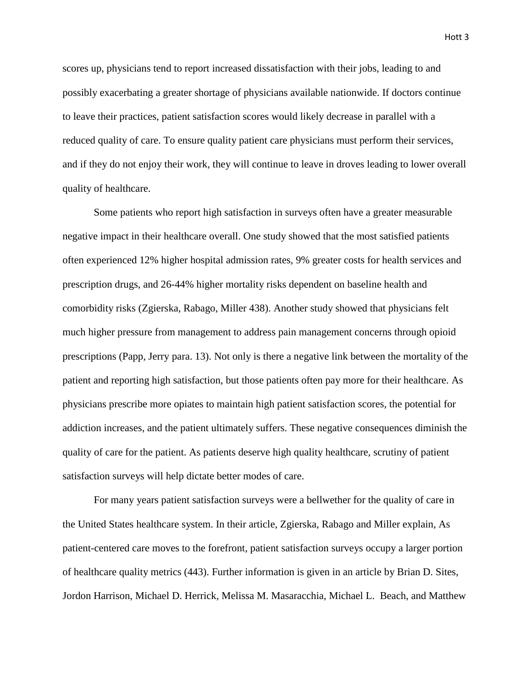Hott 3

scores up, physicians tend to report increased dissatisfaction with their jobs, leading to and possibly exacerbating a greater shortage of physicians available nationwide. If doctors continue to leave their practices, patient satisfaction scores would likely decrease in parallel with a reduced quality of care. To ensure quality patient care physicians must perform their services, and if they do not enjoy their work, they will continue to leave in droves leading to lower overall quality of healthcare.

Some patients who report high satisfaction in surveys often have a greater measurable negative impact in their healthcare overall. One study showed that the most satisfied patients often experienced 12% higher hospital admission rates, 9% greater costs for health services and prescription drugs, and 26-44% higher mortality risks dependent on baseline health and comorbidity risks (Zgierska, Rabago, Miller 438). Another study showed that physicians felt much higher pressure from management to address pain management concerns through opioid prescriptions (Papp, Jerry para. 13). Not only is there a negative link between the mortality of the patient and reporting high satisfaction, but those patients often pay more for their healthcare. As physicians prescribe more opiates to maintain high patient satisfaction scores, the potential for addiction increases, and the patient ultimately suffers. These negative consequences diminish the quality of care for the patient. As patients deserve high quality healthcare, scrutiny of patient satisfaction surveys will help dictate better modes of care.

For many years patient satisfaction surveys were a bellwether for the quality of care in the United States healthcare system. In their article, Zgierska, Rabago and Miller explain, As patient-centered care moves to the forefront, patient satisfaction surveys occupy a larger portion of healthcare quality metrics (443). Further information is given in an article by Brian D. Sites, Jordon Harrison, Michael D. Herrick, Melissa M. Masaracchia, Michael L. Beach, and Matthew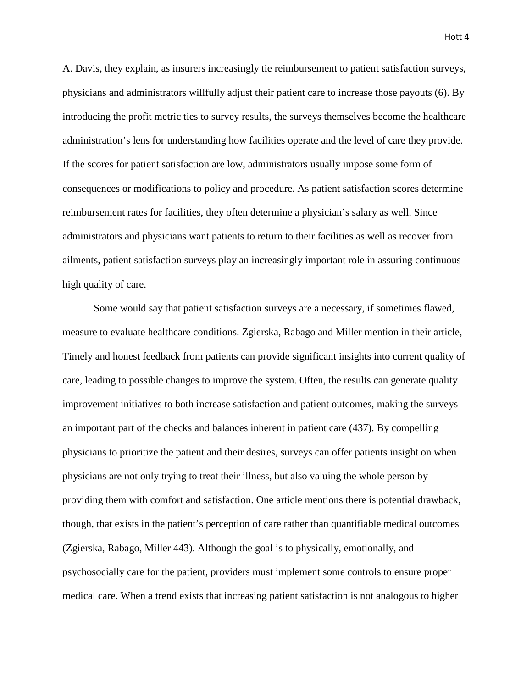A. Davis, they explain, as insurers increasingly tie reimbursement to patient satisfaction surveys, physicians and administrators willfully adjust their patient care to increase those payouts (6). By introducing the profit metric ties to survey results, the surveys themselves become the healthcare administration's lens for understanding how facilities operate and the level of care they provide. If the scores for patient satisfaction are low, administrators usually impose some form of consequences or modifications to policy and procedure. As patient satisfaction scores determine reimbursement rates for facilities, they often determine a physician's salary as well. Since administrators and physicians want patients to return to their facilities as well as recover from ailments, patient satisfaction surveys play an increasingly important role in assuring continuous high quality of care.

Some would say that patient satisfaction surveys are a necessary, if sometimes flawed, measure to evaluate healthcare conditions. Zgierska, Rabago and Miller mention in their article, Timely and honest feedback from patients can provide significant insights into current quality of care, leading to possible changes to improve the system. Often, the results can generate quality improvement initiatives to both increase satisfaction and patient outcomes, making the surveys an important part of the checks and balances inherent in patient care (437). By compelling physicians to prioritize the patient and their desires, surveys can offer patients insight on when physicians are not only trying to treat their illness, but also valuing the whole person by providing them with comfort and satisfaction. One article mentions there is potential drawback, though, that exists in the patient's perception of care rather than quantifiable medical outcomes (Zgierska, Rabago, Miller 443). Although the goal is to physically, emotionally, and psychosocially care for the patient, providers must implement some controls to ensure proper medical care. When a trend exists that increasing patient satisfaction is not analogous to higher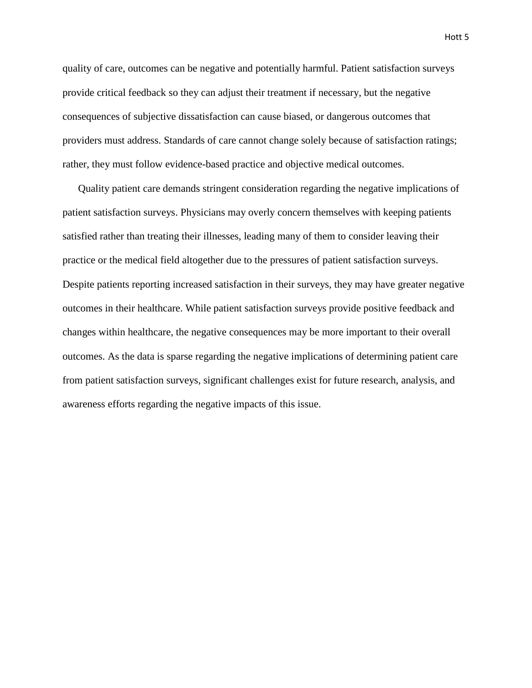quality of care, outcomes can be negative and potentially harmful. Patient satisfaction surveys provide critical feedback so they can adjust their treatment if necessary, but the negative consequences of subjective dissatisfaction can cause biased, or dangerous outcomes that providers must address. Standards of care cannot change solely because of satisfaction ratings; rather, they must follow evidence-based practice and objective medical outcomes.

Quality patient care demands stringent consideration regarding the negative implications of patient satisfaction surveys. Physicians may overly concern themselves with keeping patients satisfied rather than treating their illnesses, leading many of them to consider leaving their practice or the medical field altogether due to the pressures of patient satisfaction surveys. Despite patients reporting increased satisfaction in their surveys, they may have greater negative outcomes in their healthcare. While patient satisfaction surveys provide positive feedback and changes within healthcare, the negative consequences may be more important to their overall outcomes. As the data is sparse regarding the negative implications of determining patient care from patient satisfaction surveys, significant challenges exist for future research, analysis, and awareness efforts regarding the negative impacts of this issue.